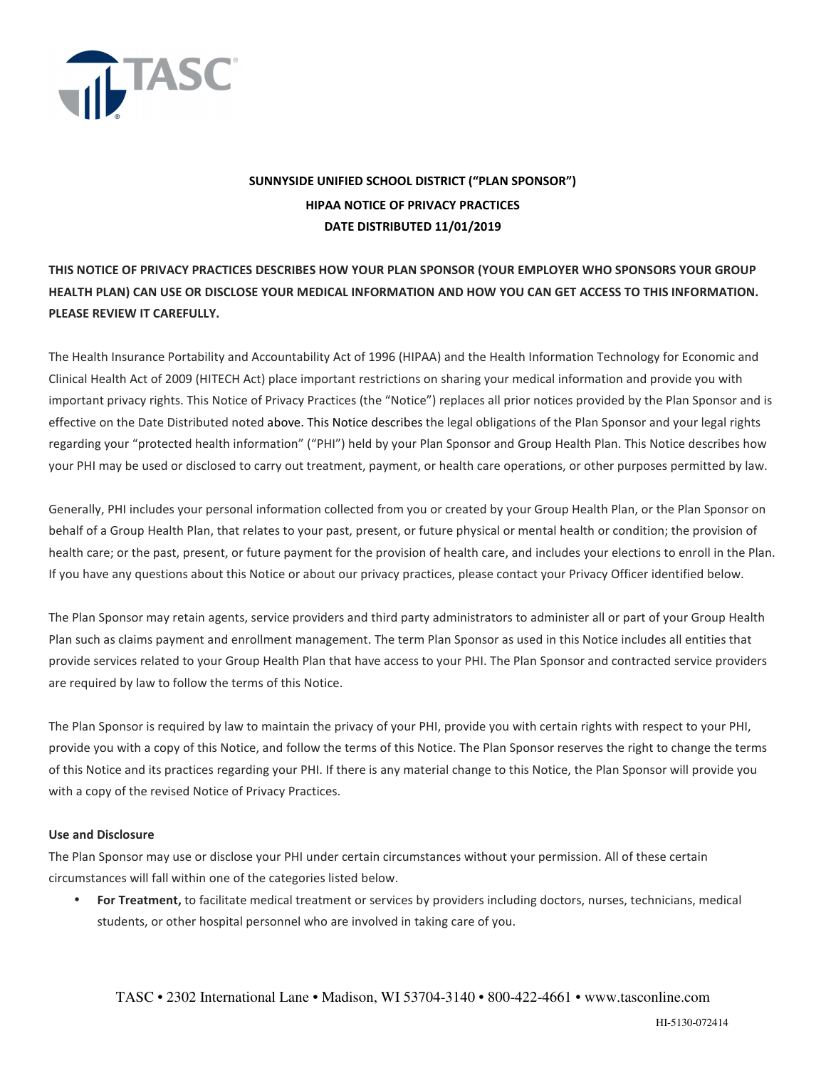

# **SUNNYSIDE UNIFIED SCHOOL DISTRICT ("PLAN SPONSOR") HIPAA NOTICE OF PRIVACY PRACTICES DATE DISTRIBUTED 11/01/2019**

## **THIS NOTICE OF PRIVACY PRACTICES DESCRIBES HOW YOUR PLAN SPONSOR (YOUR EMPLOYER WHO SPONSORS YOUR GROUP HEALTH PLAN) CAN USE OR DISCLOSE YOUR MEDICAL INFORMATION AND HOW YOU CAN GET ACCESS TO THIS INFORMATION. PLEASE REVIEW IT CAREFULLY.**

The Health Insurance Portability and Accountability Act of 1996 (HIPAA) and the Health Information Technology for Economic and Clinical Health Act of 2009 (HITECH Act) place important restrictions on sharing your medical information and provide you with important privacy rights. This Notice of Privacy Practices (the "Notice") replaces all prior notices provided by the Plan Sponsor and is effective on the Date Distributed noted above. This Notice describes the legal obligations of the Plan Sponsor and your legal rights regarding your "protected health information" ("PHI") held by your Plan Sponsor and Group Health Plan. This Notice describes how your PHI may be used or disclosed to carry out treatment, payment, or health care operations, or other purposes permitted by law.

Generally, PHI includes your personal information collected from you or created by your Group Health Plan, or the Plan Sponsor on behalf of a Group Health Plan, that relates to your past, present, or future physical or mental health or condition; the provision of health care; or the past, present, or future payment for the provision of health care, and includes your elections to enroll in the Plan. If you have any questions about this Notice or about our privacy practices, please contact your Privacy Officer identified below.

The Plan Sponsor may retain agents, service providers and third party administrators to administer all or part of your Group Health Plan such as claims payment and enrollment management. The term Plan Sponsor as used in this Notice includes all entities that provide services related to your Group Health Plan that have access to your PHI. The Plan Sponsor and contracted service providers are required by law to follow the terms of this Notice.

The Plan Sponsor is required by law to maintain the privacy of your PHI, provide you with certain rights with respect to your PHI, provide you with a copy of this Notice, and follow the terms of this Notice. The Plan Sponsor reserves the right to change the terms of this Notice and its practices regarding your PHI. If there is any material change to this Notice, the Plan Sponsor will provide you with a copy of the revised Notice of Privacy Practices.

### **Use and Disclosure**

The Plan Sponsor may use or disclose your PHI under certain circumstances without your permission. All of these certain circumstances will fall within one of the categories listed below.

• **For Treatment,** to facilitate medical treatment or services by providers including doctors, nurses, technicians, medical students, or other hospital personnel who are involved in taking care of you.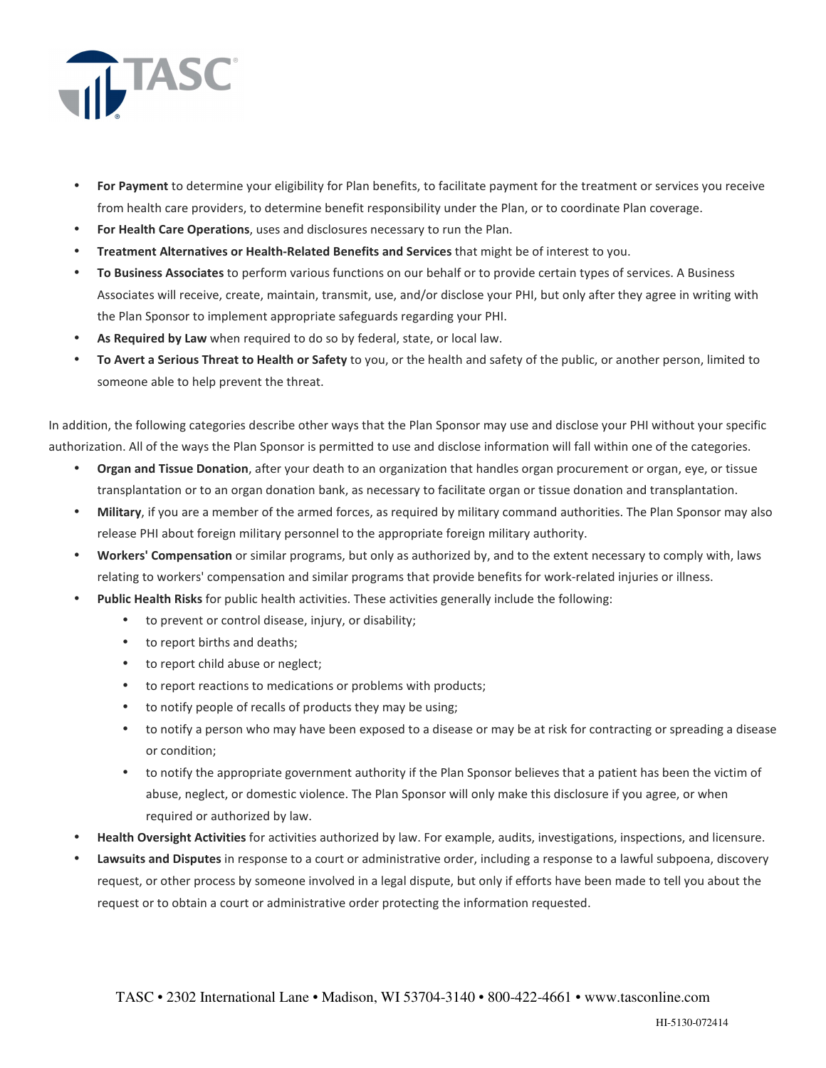

- **For Payment** to determine your eligibility for Plan benefits, to facilitate payment for the treatment or services you receive from health care providers, to determine benefit responsibility under the Plan, or to coordinate Plan coverage.
- **For Health Care Operations**, uses and disclosures necessary to run the Plan.
- **Treatment Alternatives or Health-Related Benefits and Services** that might be of interest to you.
- **To Business Associates** to perform various functions on our behalf or to provide certain types of services. A Business Associates will receive, create, maintain, transmit, use, and/or disclose your PHI, but only after they agree in writing with the Plan Sponsor to implement appropriate safeguards regarding your PHI.
- **As Required by Law** when required to do so by federal, state, or local law.
- **To Avert a Serious Threat to Health or Safety** to you, or the health and safety of the public, or another person, limited to someone able to help prevent the threat.

In addition, the following categories describe other ways that the Plan Sponsor may use and disclose your PHI without your specific authorization. All of the ways the Plan Sponsor is permitted to use and disclose information will fall within one of the categories.

- **Organ and Tissue Donation**, after your death to an organization that handles organ procurement or organ, eye, or tissue transplantation or to an organ donation bank, as necessary to facilitate organ or tissue donation and transplantation.
- **Military**, if you are a member of the armed forces, as required by military command authorities. The Plan Sponsor may also release PHI about foreign military personnel to the appropriate foreign military authority.
- **Workers' Compensation** or similar programs, but only as authorized by, and to the extent necessary to comply with, laws relating to workers' compensation and similar programs that provide benefits for work-related injuries or illness.
- **Public Health Risks** for public health activities. These activities generally include the following:
	- to prevent or control disease, injury, or disability;
	- to report births and deaths;
	- to report child abuse or neglect;
	- to report reactions to medications or problems with products;
	- to notify people of recalls of products they may be using;
	- to notify a person who may have been exposed to a disease or may be at risk for contracting or spreading a disease or condition;
	- to notify the appropriate government authority if the Plan Sponsor believes that a patient has been the victim of abuse, neglect, or domestic violence. The Plan Sponsor will only make this disclosure if you agree, or when required or authorized by law.
- **Health Oversight Activities** for activities authorized by law. For example, audits, investigations, inspections, and licensure.
- **Lawsuits and Disputes** in response to a court or administrative order, including a response to a lawful subpoena, discovery request, or other process by someone involved in a legal dispute, but only if efforts have been made to tell you about the request or to obtain a court or administrative order protecting the information requested.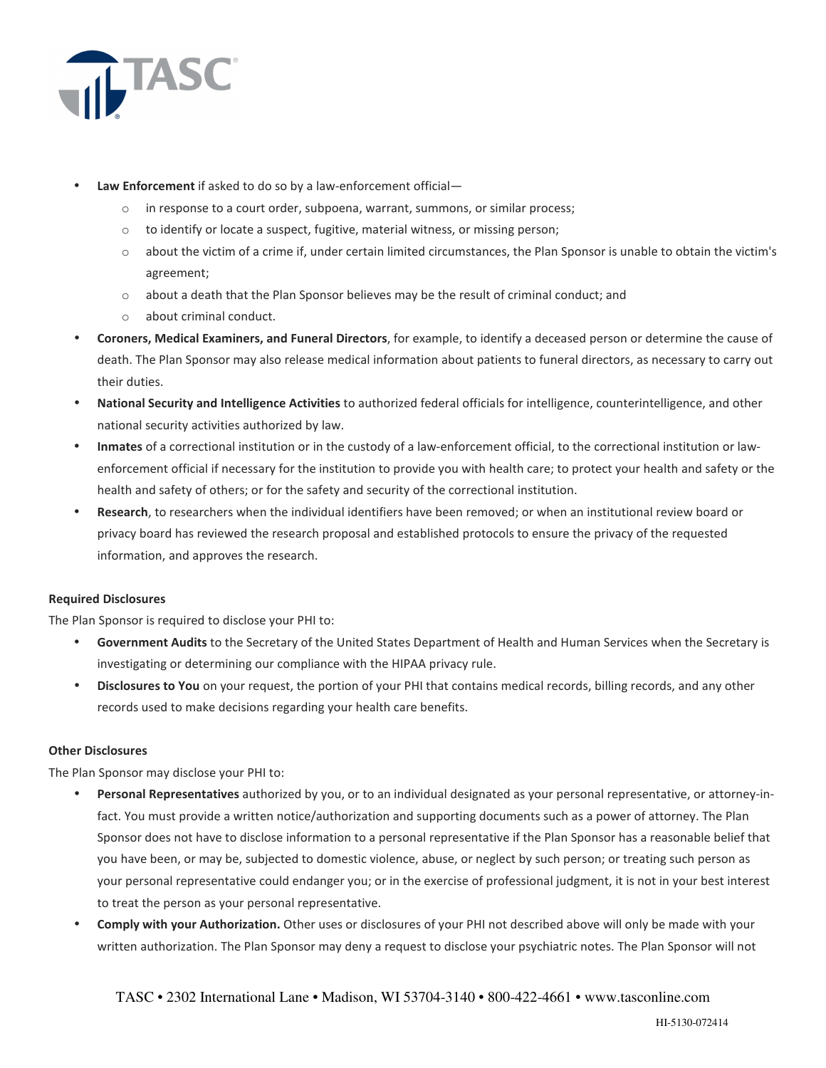

- **Law Enforcement** if asked to do so by a law-enforcement official
	- o in response to a court order, subpoena, warrant, summons, or similar process;
	- o to identify or locate a suspect, fugitive, material witness, or missing person;
	- o about the victim of a crime if, under certain limited circumstances, the Plan Sponsor is unable to obtain the victim's agreement;
	- $\circ$  about a death that the Plan Sponsor believes may be the result of criminal conduct; and
	- o about criminal conduct.
- **Coroners, Medical Examiners, and Funeral Directors**, for example, to identify a deceased person or determine the cause of death. The Plan Sponsor may also release medical information about patients to funeral directors, as necessary to carry out their duties.
- **National Security and Intelligence Activities** to authorized federal officials for intelligence, counterintelligence, and other national security activities authorized by law.
- **Inmates** of a correctional institution or in the custody of a law-enforcement official, to the correctional institution or lawenforcement official if necessary for the institution to provide you with health care; to protect your health and safety or the health and safety of others; or for the safety and security of the correctional institution.
- **Research**, to researchers when the individual identifiers have been removed; or when an institutional review board or privacy board has reviewed the research proposal and established protocols to ensure the privacy of the requested information, and approves the research.

### **Required Disclosures**

The Plan Sponsor is required to disclose your PHI to:

- **Government Audits** to the Secretary of the United States Department of Health and Human Services when the Secretary is investigating or determining our compliance with the HIPAA privacy rule.
- **Disclosures to You** on your request, the portion of your PHI that contains medical records, billing records, and any other records used to make decisions regarding your health care benefits.

### **Other Disclosures**

The Plan Sponsor may disclose your PHI to:

- **Personal Representatives** authorized by you, or to an individual designated as your personal representative, or attorney-infact. You must provide a written notice/authorization and supporting documents such as a power of attorney. The Plan Sponsor does not have to disclose information to a personal representative if the Plan Sponsor has a reasonable belief that you have been, or may be, subjected to domestic violence, abuse, or neglect by such person; or treating such person as your personal representative could endanger you; or in the exercise of professional judgment, it is not in your best interest to treat the person as your personal representative.
- **Comply with your Authorization.** Other uses or disclosures of your PHI not described above will only be made with your written authorization. The Plan Sponsor may deny a request to disclose your psychiatric notes. The Plan Sponsor will not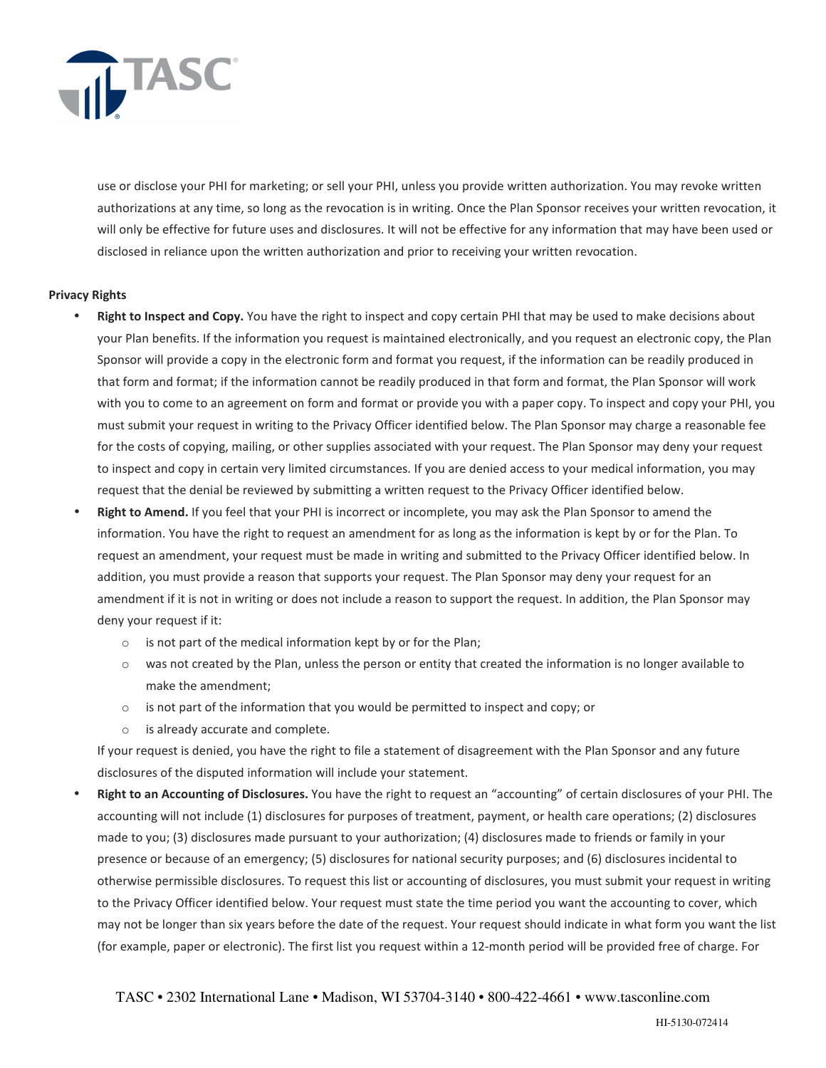

use or disclose your PHI for marketing; or sell your PHI, unless you provide written authorization. You may revoke written authorizations at any time, so long as the revocation is in writing. Once the Plan Sponsor receives your written revocation, it will only be effective for future uses and disclosures. It will not be effective for any information that may have been used or disclosed in reliance upon the written authorization and prior to receiving your written revocation.

### **Privacy Rights**

- **Right to Inspect and Copy.** You have the right to inspect and copy certain PHI that may be used to make decisions about your Plan benefits. If the information you request is maintained electronically, and you request an electronic copy, the Plan Sponsor will provide a copy in the electronic form and format you request, if the information can be readily produced in that form and format; if the information cannot be readily produced in that form and format, the Plan Sponsor will work with you to come to an agreement on form and format or provide you with a paper copy. To inspect and copy your PHI, you must submit your request in writing to the Privacy Officer identified below. The Plan Sponsor may charge a reasonable fee for the costs of copying, mailing, or other supplies associated with your request. The Plan Sponsor may deny your request to inspect and copy in certain very limited circumstances. If you are denied access to your medical information, you may request that the denial be reviewed by submitting a written request to the Privacy Officer identified below.
- **Right to Amend.** If you feel that your PHI is incorrect or incomplete, you may ask the Plan Sponsor to amend the information. You have the right to request an amendment for as long as the information is kept by or for the Plan. To request an amendment, your request must be made in writing and submitted to the Privacy Officer identified below. In addition, you must provide a reason that supports your request. The Plan Sponsor may deny your request for an amendment if it is not in writing or does not include a reason to support the request. In addition, the Plan Sponsor may deny your request if it:
	- o is not part of the medical information kept by or for the Plan;
	- $\circ$  was not created by the Plan, unless the person or entity that created the information is no longer available to make the amendment;
	- $\circ$  is not part of the information that you would be permitted to inspect and copy; or
	- o is already accurate and complete.

If your request is denied, you have the right to file a statement of disagreement with the Plan Sponsor and any future disclosures of the disputed information will include your statement.

• **Right to an Accounting of Disclosures.** You have the right to request an "accounting" of certain disclosures of your PHI. The accounting will not include (1) disclosures for purposes of treatment, payment, or health care operations; (2) disclosures made to you; (3) disclosures made pursuant to your authorization; (4) disclosures made to friends or family in your presence or because of an emergency; (5) disclosures for national security purposes; and (6) disclosures incidental to otherwise permissible disclosures. To request this list or accounting of disclosures, you must submit your request in writing to the Privacy Officer identified below. Your request must state the time period you want the accounting to cover, which may not be longer than six years before the date of the request. Your request should indicate in what form you want the list (for example, paper or electronic). The first list you request within a 12-month period will be provided free of charge. For